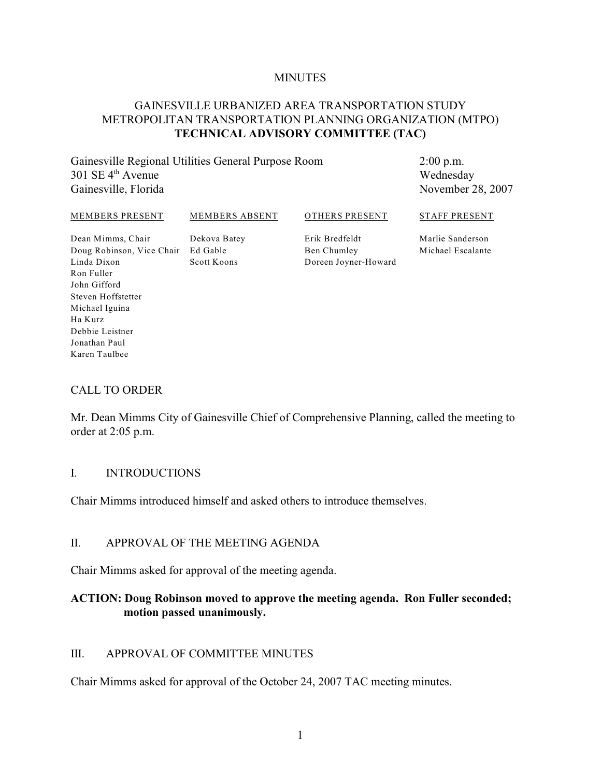#### **MINUTES**

# GAINESVILLE URBANIZED AREA TRANSPORTATION STUDY METROPOLITAN TRANSPORTATION PLANNING ORGANIZATION (MTPO) **TECHNICAL ADVISORY COMMITTEE (TAC)**

Gainesville Regional Utilities General Purpose Room  $301$  SE  $4<sup>th</sup>$  Avenue Gainesville, Florida

2:00 p.m. Wednesday November 28, 2007

#### MEMBERS PRESENT

MEMBERS ABSENT

OTHERS PRESENT STAFF PRESENT

Dean Mimms, Chair Doug Robinson, Vice Chair Ed Gable Linda Dixon Ron Fuller John Gifford Steven Hoffstetter Michael Iguina Ha Kurz Debbie Leistner Jonathan Paul Karen Taulbee

Dekova Batey Scott Koons

Erik Bredfeldt Ben Chumley Doreen Joyner-Howard Marlie Sanderson Michael Escalante

#### CALL TO ORDER

Mr. Dean Mimms City of Gainesville Chief of Comprehensive Planning, called the meeting to order at 2:05 p.m.

#### I. INTRODUCTIONS

Chair Mimms introduced himself and asked others to introduce themselves.

#### II. APPROVAL OF THE MEETING AGENDA

Chair Mimms asked for approval of the meeting agenda.

## **ACTION: Doug Robinson moved to approve the meeting agenda. Ron Fuller seconded; motion passed unanimously.**

#### III. APPROVAL OF COMMITTEE MINUTES

Chair Mimms asked for approval of the October 24, 2007 TAC meeting minutes.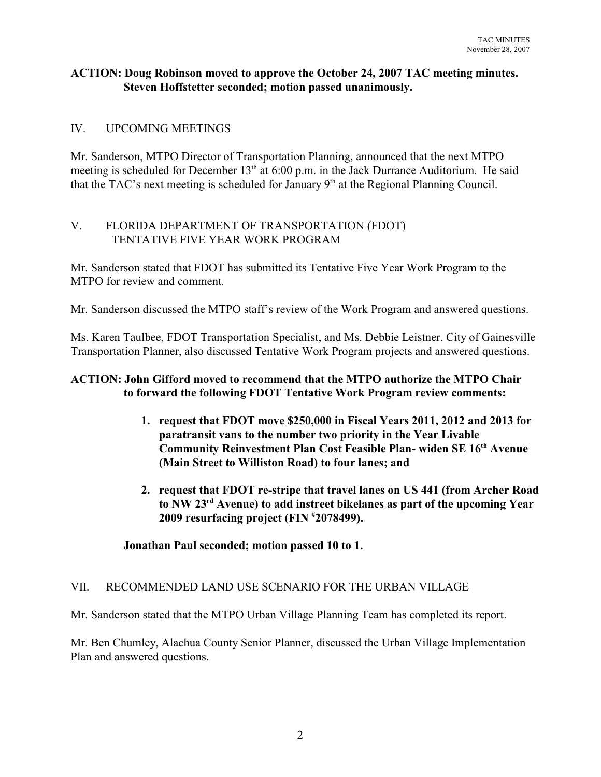### **ACTION: Doug Robinson moved to approve the October 24, 2007 TAC meeting minutes. Steven Hoffstetter seconded; motion passed unanimously.**

# IV. UPCOMING MEETINGS

Mr. Sanderson, MTPO Director of Transportation Planning, announced that the next MTPO meeting is scheduled for December  $13<sup>th</sup>$  at 6:00 p.m. in the Jack Durrance Auditorium. He said that the TAC's next meeting is scheduled for January  $9<sup>th</sup>$  at the Regional Planning Council.

# V. FLORIDA DEPARTMENT OF TRANSPORTATION (FDOT) TENTATIVE FIVE YEAR WORK PROGRAM

Mr. Sanderson stated that FDOT has submitted its Tentative Five Year Work Program to the MTPO for review and comment.

Mr. Sanderson discussed the MTPO staff's review of the Work Program and answered questions.

Ms. Karen Taulbee, FDOT Transportation Specialist, and Ms. Debbie Leistner, City of Gainesville Transportation Planner, also discussed Tentative Work Program projects and answered questions.

# **ACTION: John Gifford moved to recommend that the MTPO authorize the MTPO Chair to forward the following FDOT Tentative Work Program review comments:**

- **1. request that FDOT move \$250,000 in Fiscal Years 2011, 2012 and 2013 for paratransit vans to the number two priority in the Year Livable Community Reinvestment Plan Cost Feasible Plan- widen SE 16<sup>th</sup> Avenue (Main Street to Williston Road) to four lanes; and**
- **2. request that FDOT re-stripe that travel lanes on US 441 (from Archer Road** to NW 23<sup>rd</sup> Avenue) to add instreet bikelanes as part of the upcoming Year **2009 resurfacing project (FIN 2078499). #**

#### **Jonathan Paul seconded; motion passed 10 to 1.**

#### VII. RECOMMENDED LAND USE SCENARIO FOR THE URBAN VILLAGE

Mr. Sanderson stated that the MTPO Urban Village Planning Team has completed its report.

Mr. Ben Chumley, Alachua County Senior Planner, discussed the Urban Village Implementation Plan and answered questions.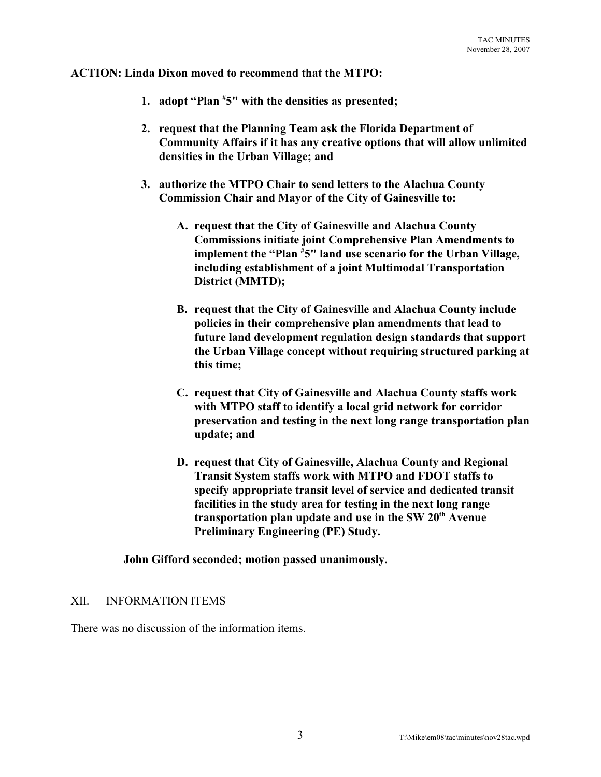**ACTION: Linda Dixon moved to recommend that the MTPO:**

- **1. adopt "Plan**  $*5$ " with the densities as presented;
- **2. request that the Planning Team ask the Florida Department of Community Affairs if it has any creative options that will allow unlimited densities in the Urban Village; and**
- **3. authorize the MTPO Chair to send letters to the Alachua County Commission Chair and Mayor of the City of Gainesville to:**
	- **A. request that the City of Gainesville and Alachua County Commissions initiate joint Comprehensive Plan Amendments to** implement the "Plan <sup>#</sup>5" land use scenario for the Urban Village, **including establishment of a joint Multimodal Transportation District (MMTD);**
	- **B. request that the City of Gainesville and Alachua County include policies in their comprehensive plan amendments that lead to future land development regulation design standards that support the Urban Village concept without requiring structured parking at this time;**
	- **C. request that City of Gainesville and Alachua County staffs work with MTPO staff to identify a local grid network for corridor preservation and testing in the next long range transportation plan update; and**
	- **D. request that City of Gainesville, Alachua County and Regional Transit System staffs work with MTPO and FDOT staffs to specify appropriate transit level of service and dedicated transit facilities in the study area for testing in the next long range** transportation plan update and use in the SW 20<sup>th</sup> Avenue **Preliminary Engineering (PE) Study.**

**John Gifford seconded; motion passed unanimously.**

#### XII. INFORMATION ITEMS

There was no discussion of the information items.